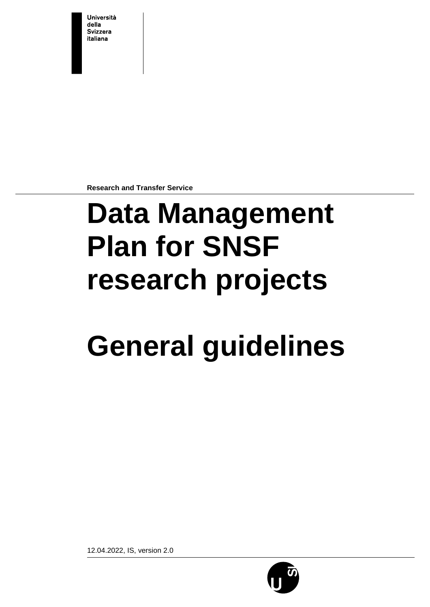**Università** della **Svizzera** italiana

**Research and Transfer Service**

# **Data Management Plan for SNSF research projects**

# **General guidelines**

12.04.2022, IS, version 2.0

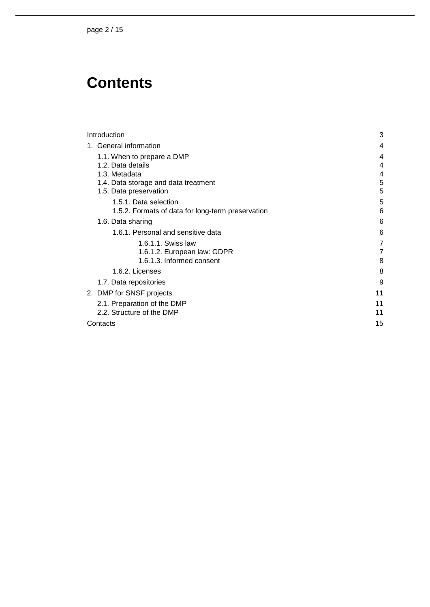# **Contents**

| Introduction                                                   | 3      |
|----------------------------------------------------------------|--------|
| 1. General information                                         |        |
| 1.1. When to prepare a DMP                                     |        |
| 1.2. Data details                                              | 4      |
| 1.3. Metadata                                                  | 4      |
| 1.4. Data storage and data treatment<br>1.5. Data preservation | 5<br>5 |
| 1.5.1. Data selection                                          | 5      |
| 1.5.2. Formats of data for long-term preservation              | 6      |
| 1.6. Data sharing                                              | 6      |
| 1.6.1. Personal and sensitive data                             | 6      |
| 1.6.1.1. Swiss law                                             | 7      |
| 1.6.1.2. European law: GDPR                                    | 7      |
| 1.6.1.3. Informed consent                                      | 8      |
| 1.6.2. Licenses                                                | 8      |
| 1.7. Data repositories                                         | 9      |
| 2. DMP for SNSF projects                                       | 11     |
| 2.1. Preparation of the DMP                                    | 11     |
| 2.2. Structure of the DMP                                      | 11     |
| Contacts                                                       | 15     |
|                                                                |        |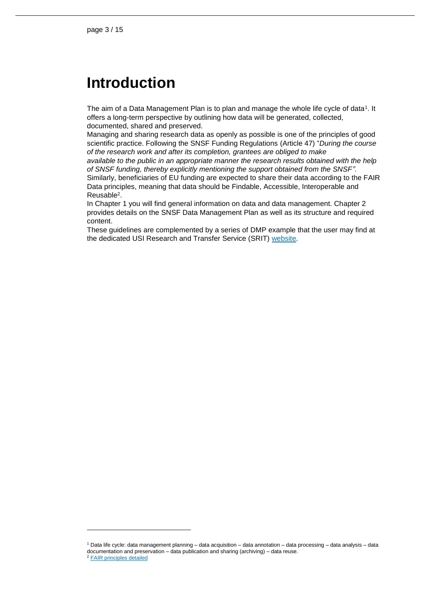## <span id="page-2-0"></span>**Introduction**

The aim of a Data Management Plan is to plan and manage the whole life cycle of data<sup>1</sup>. It offers a long-term perspective by outlining how data will be generated, collected, documented, shared and preserved.

Managing and sharing research data as openly as possible is one of the principles of good scientific practice. Following the SNSF Funding Regulations (Article 47) "*During the course of the research work and after its completion, grantees are obliged to make*

*available to the public in an appropriate manner the research results obtained with the help of SNSF funding, thereby explicitly mentioning the support obtained from the SNSF"*. Similarly, beneficiaries of EU funding are expected to share their data according to the FAIR Data principles, meaning that data should be Findable, Accessible, Interoperable and

Reusable<sup>2</sup> .

In Chapter 1 you will find general information on data and data management. Chapter 2 provides details on the SNSF Data Management Plan as well as its structure and required content.

These guidelines are complemented by a series of DMP example that the user may find at the dedicated USI Research and Transfer Service (SRIT) [website.](https://www.usi.ch/en/universita/info/srit/research-data-management-service/data-management-plan-dmp)

<sup>1</sup> Data life cycle: data management planning – data acquisition – data annotation – data processing – data analysis – data documentation and preservation – data publication and sharing (archiving) – data reuse.

<sup>2</sup> [FAIR principles detailed](https://www.go-fair.org/fair-principles/)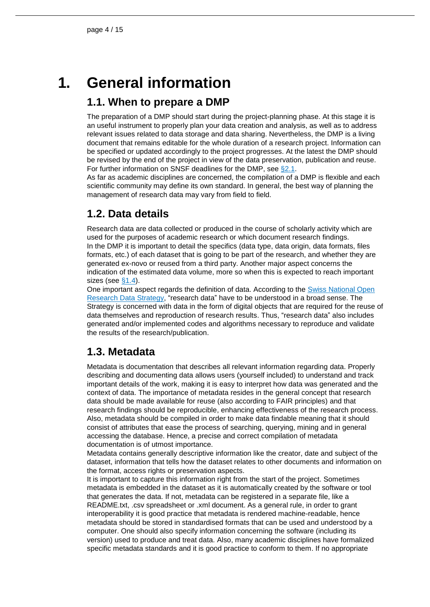# **1. General information**

## <span id="page-3-1"></span><span id="page-3-0"></span>**1.1. When to prepare a DMP**

The preparation of a DMP should start during the project-planning phase. At this stage it is an useful instrument to properly plan your data creation and analysis, as well as to address relevant issues related to data storage and data sharing. Nevertheless, the DMP is a living document that remains editable for the whole duration of a research project. Information can be specified or updated accordingly to the project progresses. At the latest the DMP should be revised by the end of the project in view of the data preservation, publication and reuse. For further information on SNSF deadlines for the DMP, see [§2.1.](#page-10-1)

As far as academic disciplines are concerned, the compilation of a DMP is flexible and each scientific community may define its own standard. In general, the best way of planning the management of research data may vary from field to field.

## <span id="page-3-2"></span>**1.2. Data details**

Research data are data collected or produced in the course of scholarly activity which are used for the purposes of academic research or which document research findings. In the DMP it is important to detail the specifics (data type, data origin, data formats, files formats, etc.) of each dataset that is going to be part of the research, and whether they are generated ex-novo or reused from a third party. Another major aspect concerns the indication of the estimated data volume, more so when this is expected to reach important sizes (see [§1.4\)](#page-4-0).

One important aspect regards the definition of data. According to the [Swiss National Open](https://www.swissuniversities.ch/en/topics/digitalisation/open-research-data/national-strategy-and-action-plan)  [Research Data Strategy,](https://www.swissuniversities.ch/en/topics/digitalisation/open-research-data/national-strategy-and-action-plan) "research data" have to be understood in a broad sense. The Strategy is concerned with data in the form of digital objects that are required for the reuse of data themselves and reproduction of research results. Thus, "research data" also includes generated and/or implemented codes and algorithms necessary to reproduce and validate the results of the research/publication.

## <span id="page-3-3"></span>**1.3. Metadata**

Metadata is documentation that describes all relevant information regarding data. Properly describing and documenting data allows users (yourself included) to understand and track important details of the work, making it is easy to interpret how data was generated and the context of data. The importance of metadata resides in the general concept that research data should be made available for reuse (also according to FAIR principles) and that research findings should be reproducible, enhancing effectiveness of the research process. Also, metadata should be compiled in order to make data findable meaning that it should consist of attributes that ease the process of searching, querying, mining and in general accessing the database. Hence, a precise and correct compilation of metadata documentation is of utmost importance.

Metadata contains generally descriptive information like the creator, date and subject of the dataset, information that tells how the dataset relates to other documents and information on the format, access rights or preservation aspects.

It is important to capture this information right from the start of the project. Sometimes metadata is embedded in the dataset as it is automatically created by the software or tool that generates the data. If not, metadata can be registered in a separate file, like a README.txt, .csv spreadsheet or .xml document. As a general rule, in order to grant interoperability it is good practice that metadata is rendered machine-readable, hence metadata should be stored in standardised formats that can be used and understood by a computer. One should also specify information concerning the software (including its version) used to produce and treat data. Also, many academic disciplines have formalized specific metadata standards and it is good practice to conform to them. If no appropriate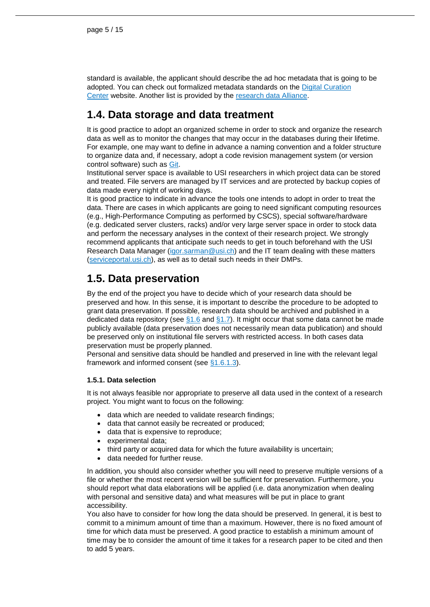standard is available, the applicant should describe the ad hoc metadata that is going to be adopted. You can check out formalized metadata standards on the [Digital Curation](http://www.dcc.ac.uk/resources/metadata-standards)  [Center](http://www.dcc.ac.uk/resources/metadata-standards) website. Another list is provided by the [research data Alliance.](http://rd-alliance.github.io/metadata-directory/)

## <span id="page-4-0"></span>**1.4. Data storage and data treatment**

It is good practice to adopt an organized scheme in order to stock and organize the research data as well as to monitor the changes that may occur in the databases during their lifetime. For example, one may want to define in advance a naming convention and a folder structure to organize data and, if necessary, adopt a code revision management system (or version control software) such as [Git.](https://git-scm.com/)

Institutional server space is available to USI researchers in which project data can be stored and treated. File servers are managed by IT services and are protected by backup copies of data made every night of working days.

It is good practice to indicate in advance the tools one intends to adopt in order to treat the data. There are cases in which applicants are going to need significant computing resources (e.g., High-Performance Computing as performed by CSCS), special software/hardware (e.g. dedicated server clusters, racks) and/or very large server space in order to stock data and perform the necessary analyses in the context of their research project. We strongly recommend applicants that anticipate such needs to get in touch beforehand with the USI Research Data Manager [\(igor.sarman@usi.ch\)](mailto:igor.sarman@usi.ch) and the IT team dealing with these matters [\(serviceportal.usi.ch\)](file://///usi/dfs/Progetti/Servizio%20ricerca/1_SNSF/0_Open_Data-Open_Access/serviceportal.usi.ch), as well as to detail such needs in their DMPs.

## <span id="page-4-1"></span>**1.5. Data preservation**

By the end of the project you have to decide which of your research data should be preserved and how. In this sense, it is important to describe the procedure to be adopted to grant data preservation. If possible, research data should be archived and published in a dedicated data repository (see  $\S1.6$  and  $\S1.7$ ). It might occur that some data cannot be made publicly available (data preservation does not necessarily mean data publication) and should be preserved only on institutional file servers with restricted access. In both cases data preservation must be properly planned.

Personal and sensitive data should be handled and preserved in line with the relevant legal framework and informed consent (see [§1.6.1.3\)](#page-7-0).

#### <span id="page-4-2"></span>**1.5.1. Data selection**

It is not always feasible nor appropriate to preserve all data used in the context of a research project. You might want to focus on the following:

- data which are needed to validate research findings:
- data that cannot easily be recreated or produced;
- data that is expensive to reproduce;
- experimental data;
- third party or acquired data for which the future availability is uncertain;
- data needed for further reuse.

In addition, you should also consider whether you will need to preserve multiple versions of a file or whether the most recent version will be sufficient for preservation. Furthermore, you should report what data elaborations will be applied (i.e. data anonymization when dealing with personal and sensitive data) and what measures will be put in place to grant accessibility.

You also have to consider for how long the data should be preserved. In general, it is best to commit to a minimum amount of time than a maximum. However, there is no fixed amount of time for which data must be preserved. A good practice to establish a minimum amount of time may be to consider the amount of time it takes for a research paper to be cited and then to add 5 years.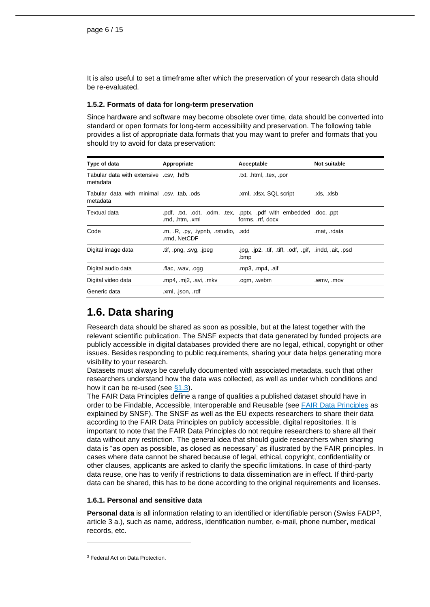It is also useful to set a timeframe after which the preservation of your research data should be re-evaluated.

#### <span id="page-5-0"></span>**1.5.2. Formats of data for long-term preservation**

Since hardware and software may become obsolete over time, data should be converted into standard or open formats for long-term accessibility and preservation. The following table provides a list of appropriate data formats that you may want to prefer and formats that you should try to avoid for data preservation:

| Type of data                                          | Appropriate                                         | Acceptable                                                                              | Not suitable |
|-------------------------------------------------------|-----------------------------------------------------|-----------------------------------------------------------------------------------------|--------------|
| Tabular data with extensive .csv, .hdf5<br>metadata   |                                                     | .txt, .html, .tex, .por                                                                 |              |
| Tabular data with minimal .csv, tab, .ods<br>metadata |                                                     | .xml, .xlsx, SQL script                                                                 | .xls, .xlsb  |
| Textual data                                          | .md, .htm, .xml                                     | .pdf, .txt, .odt, .odm, .tex, .pptx, .pdf with embedded .doc, .ppt<br>forms, .rtf, docx |              |
| Code                                                  | .m, .R, .py, .iypnb, .rstudio, .sdd<br>.rmd, NetCDF |                                                                                         | .mat, .rdata |
| Digital image data                                    | tif, png, svg, ipeg                                 | .jpg, .jp2, .tif, .tiff, .odf, .gif, .indd, .ait, .psd<br>.bmp                          |              |
| Digital audio data                                    | .flac, .wav, .ogg                                   | .mp3, .mp4, .aif                                                                        |              |
| Digital video data                                    | .mp4, .mj2, .avi, .mkv                              | .ogm, .webm                                                                             | .wmv, .mov   |
| Generic data                                          | .xml, .json, .rdf                                   |                                                                                         |              |

## <span id="page-5-1"></span>**1.6. Data sharing**

Research data should be shared as soon as possible, but at the latest together with the relevant scientific publication. The SNSF expects that data generated by funded projects are publicly accessible in digital databases provided there are no legal, ethical, copyright or other issues. Besides responding to public requirements, sharing your data helps generating more visibility to your research.

Datasets must always be carefully documented with associated metadata, such that other researchers understand how the data was collected, as well as under which conditions and how it can be re-used (see [§1.3\)](#page-3-3).

The FAIR Data Principles define a range of qualities a published dataset should have in order to be Findable, Accessible, Interoperable and Reusable (see [FAIR Data Principles](http://www.snf.ch/SiteCollectionDocuments/FAIR_principles_translation_SNSF_logo.pdf) as explained by SNSF). The SNSF as well as the EU expects researchers to share their data according to the FAIR Data Principles on publicly accessible, digital repositories. It is important to note that the FAIR Data Principles do not require researchers to share all their data without any restriction. The general idea that should guide researchers when sharing data is "as open as possible, as closed as necessary" as illustrated by the FAIR principles. In cases where data cannot be shared because of legal, ethical, copyright, confidentiality or other clauses, applicants are asked to clarify the specific limitations. In case of third-party data reuse, one has to verify if restrictions to data dissemination are in effect. If third-party data can be shared, this has to be done according to the original requirements and licenses.

#### <span id="page-5-2"></span>**1.6.1. Personal and sensitive data**

**Personal data** is all information relating to an identified or identifiable person (Swiss FADP<sup>3</sup> , article 3 a.), such as name, address, identification number, e-mail, phone number, medical records, etc.

<sup>3</sup> [Federal Act on Data Protection.](https://www.admin.ch/opc/en/classified-compilation/19920153/index.html)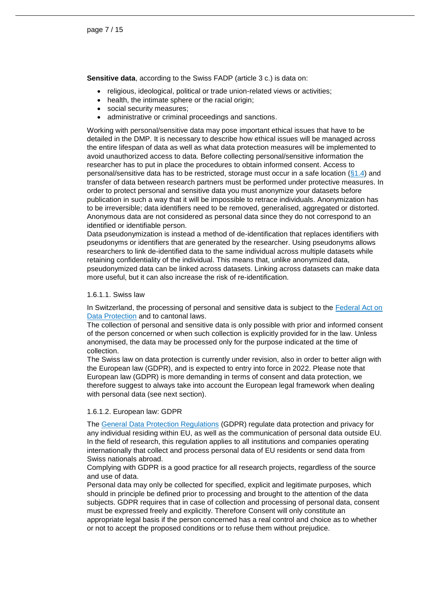**Sensitive data**, according to the Swiss FADP (article 3 c.) is data on:

- religious, ideological, political or trade union-related views or activities;
- health, the intimate sphere or the racial origin;
- social security measures;
- administrative or criminal proceedings and sanctions.

Working with personal/sensitive data may pose important ethical issues that have to be detailed in the DMP. It is necessary to describe how ethical issues will be managed across the entire lifespan of data as well as what data protection measures will be implemented to avoid unauthorized access to data. Before collecting personal/sensitive information the researcher has to put in place the procedures to obtain informed consent. Access to personal/sensitive data has to be restricted, storage must occur in a safe location  $(\S1.4)$  and transfer of data between research partners must be performed under protective measures. In order to protect personal and sensitive data you must anonymize your datasets before publication in such a way that it will be impossible to retrace individuals. Anonymization has to be irreversible; data identifiers need to be removed, generalised, aggregated or distorted. Anonymous data are not considered as personal data since they do not correspond to an identified or identifiable person.

Data pseudonymization is instead a method of de-identification that replaces identifiers with pseudonyms or identifiers that are generated by the researcher. Using pseudonyms allows researchers to link de-identified data to the same individual across multiple datasets while retaining confidentiality of the individual. This means that, unlike anonymized data, pseudonymized data can be linked across datasets. Linking across datasets can make data more useful, but it can also increase the risk of re-identification.

#### <span id="page-6-0"></span>1.6.1.1. Swiss law

In Switzerland, the processing of personal and sensitive data is subject to the Federal Act on [Data Protection](https://www.admin.ch/opc/en/classified-compilation/19920153/index.html) and to cantonal laws.

The collection of personal and sensitive data is only possible with prior and informed consent of the person concerned or when such collection is explicitly provided for in the law. Unless anonymised, the data may be processed only for the purpose indicated at the time of collection.

The Swiss law on data protection is currently under revision, also in order to better align with the European law (GDPR), and is expected to entry into force in 2022. Please note that European law (GDPR) is more demanding in terms of consent and data protection, we therefore suggest to always take into account the European legal framework when dealing with personal data (see next section).

#### <span id="page-6-1"></span>1.6.1.2. European law: GDPR

The [General Data Protection Regulations](https://eur-lex.europa.eu/legal-content/FR/TXT/?uri=CELEX%3A32016R0679) (GDPR) regulate data protection and privacy for any individual residing within EU, as well as the communication of personal data outside EU. In the field of research, this regulation applies to all institutions and companies operating internationally that collect and process personal data of EU residents or send data from Swiss nationals abroad.

Complying with GDPR is a good practice for all research projects, regardless of the source and use of data.

Personal data may only be collected for specified, explicit and legitimate purposes, which should in principle be defined prior to processing and brought to the attention of the data subjects. GDPR requires that in case of collection and processing of personal data, consent must be expressed freely and explicitly. Therefore Consent will only constitute an appropriate legal basis if the person concerned has a real control and choice as to whether or not to accept the proposed conditions or to refuse them without prejudice.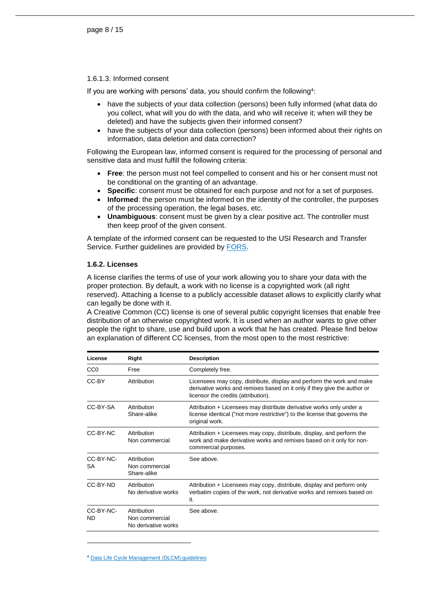#### <span id="page-7-0"></span>1.6.1.3. Informed consent

If you are working with persons' data, you should confirm the following<sup>4</sup>:

- have the subjects of your data collection (persons) been fully informed (what data do you collect, what will you do with the data, and who will receive it; when will they be deleted) and have the subjects given their informed consent?
- have the subjects of your data collection (persons) been informed about their rights on information, data deletion and data correction?

Following the European law, informed consent is required for the processing of personal and sensitive data and must fulfill the following criteria:

- **Free**: the person must not feel compelled to consent and his or her consent must not be conditional on the granting of an advantage.
- **Specific**: consent must be obtained for each purpose and not for a set of purposes.
- **Informed**: the person must be informed on the identity of the controller, the purposes of the processing operation, the legal bases, etc.
- **Unambiguous**: consent must be given by a clear positive act. The controller must then keep proof of the given consent.

A template of the informed consent can be requested to the USI Research and Transfer Service. Further guidelines are provided by [FORS.](https://forscenter.ch/fors-guides/fg-2019-00005/)

#### <span id="page-7-1"></span>**1.6.2. Licenses**

A license clarifies the terms of use of your work allowing you to share your data with the proper protection. By default, a work with no license is a copyrighted work (all right reserved). Attaching a license to a publicly accessible dataset allows to explicitly clarify what can legally be done with it.

A Creative Common (CC) license is one of several public copyright licenses that enable free distribution of an otherwise copyrighted work. It is used when an author wants to give other people the right to share, use and build upon a work that he has created. Please find below an explanation of different CC licenses, from the most open to the most restrictive:

| License                | Right                                                | <b>Description</b>                                                                                                                                                                       |
|------------------------|------------------------------------------------------|------------------------------------------------------------------------------------------------------------------------------------------------------------------------------------------|
| CC <sub>0</sub>        | Free                                                 | Completely free.                                                                                                                                                                         |
| CC-BY                  | Attribution                                          | Licensees may copy, distribute, display and perform the work and make<br>derivative works and remixes based on it only if they give the author or<br>licensor the credits (attribution). |
| CC-BY-SA               | Attribution<br>Share-alike                           | Attribution + Licensees may distribute derivative works only under a<br>license identical ("not more restrictive") to the license that governs the<br>original work.                     |
| CC-BY-NC               | Attribution<br>Non commercial                        | Attribution + Licensees may copy, distribute, display, and perform the<br>work and make derivative works and remixes based on it only for non-<br>commercial purposes.                   |
| CC-BY-NC-<br>SА        | Attribution<br>Non commercial<br>Share-alike         | See above                                                                                                                                                                                |
| CC-BY-ND               | Attribution<br>No derivative works                   | Attribution + Licensees may copy, distribute, display and perform only<br>verbatim copies of the work, not derivative works and remixes based on<br>it.                                  |
| CC-BY-NC-<br><b>ND</b> | Attribution<br>Non commercial<br>No derivative works | See above.                                                                                                                                                                               |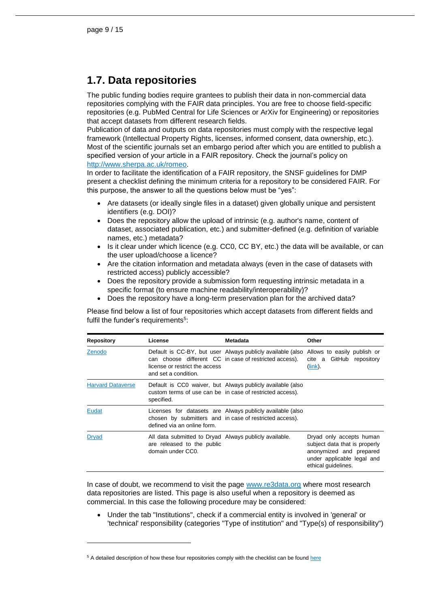### <span id="page-8-0"></span>**1.7. Data repositories**

The public funding bodies require grantees to publish their data in non-commercial data repositories complying with the FAIR data principles. You are free to choose field-specific repositories (e.g. PubMed Central for Life Sciences or ArXiv for Engineering) or repositories that accept datasets from different research fields.

Publication of data and outputs on data repositories must comply with the respective legal framework (Intellectual Property Rights, licenses, informed consent, data ownership, etc.). Most of the scientific journals set an embargo period after which you are entitled to publish a specified version of your article in a FAIR repository. Check the journal's policy on [http://www.sherpa.ac.uk/romeo.](http://www.sherpa.ac.uk/romeo)

In order to facilitate the identification of a FAIR repository, the SNSF guidelines for DMP present a checklist defining the minimum criteria for a repository to be considered FAIR. For this purpose, the answer to all the questions below must be "yes":

- Are datasets (or ideally single files in a dataset) given globally unique and persistent identifiers (e.g. DOI)?
- Does the repository allow the upload of intrinsic (e.g. author's name, content of dataset, associated publication, etc.) and submitter-defined (e.g. definition of variable names, etc.) metadata?
- $\bullet$  Is it clear under which licence (e.g. CC0, CC BY, etc.) the data will be available, or can the user upload/choose a licence?
- Are the citation information and metadata always (even in the case of datasets with restricted access) publicly accessible?
- Does the repository provide a submission form requesting intrinsic metadata in a specific format (to ensure machine readability/interoperability)?
- Does the repository have a long-term preservation plan for the archived data?

Please find below a list of four repositories which accept datasets from different fields and fulfil the funder's requirements<sup>5</sup>:

| <b>Repository</b>        | License                                                                                                   | Metadata                                                                                                                                         | Other                                                                                                                                     |
|--------------------------|-----------------------------------------------------------------------------------------------------------|--------------------------------------------------------------------------------------------------------------------------------------------------|-------------------------------------------------------------------------------------------------------------------------------------------|
| Zenodo                   | license or restrict the access<br>and set a condition.                                                    | Default is CC-BY, but user Always publicly available (also Allows to easily publish or<br>can choose different CC in case of restricted access). | cite a GitHub repository<br>$(link)$ .                                                                                                    |
| <b>Harvard Dataverse</b> | specified.                                                                                                | Default is CC0 waiver, but Always publicly available (also<br>custom terms of use can be in case of restricted access).                          |                                                                                                                                           |
| Eudat                    | defined via an online form.                                                                               | Licenses for datasets are Always publicly available (also<br>chosen by submitters and in case of restricted access).                             |                                                                                                                                           |
| <b>Dryad</b>             | All data submitted to Dryad Always publicly available.<br>are released to the public<br>domain under CC0. |                                                                                                                                                  | Dryad only accepts human<br>subject data that is properly<br>anonymized and prepared<br>under applicable legal and<br>ethical quidelines. |

In case of doubt, we recommend to visit the page [www.re3data.org](http://www.re3data.org/) where most research data repositories are listed. This page is also useful when a repository is deemed as commercial. In this case the following procedure may be considered:

 Under the tab "Institutions", check if a commercial entity is involved in 'general' or 'technical' responsibility (categories "Type of institution" and "Type(s) of responsibility")

<sup>&</sup>lt;sup>5</sup> A detailed description of how these four repositories comply with the checklist can be foun[d here](https://www.snf.ch/media/en/k64VoMUfwKoUMMY5/FAIR_data_repositories_examples.pdf)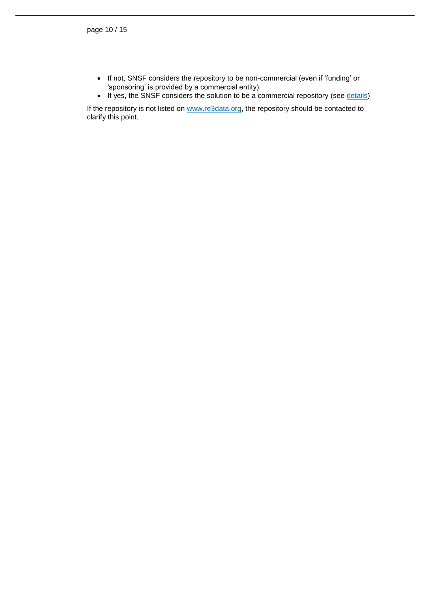- If not, SNSF considers the repository to be non-commercial (even if 'funding' or 'sponsoring' is provided by a commercial entity).
- If yes, the SNSF considers the solution to be a commercial repository (see [details\)](https://www.snf.ch/media/en/6xzDFBgjoMumjGKY/repositories_type_re3data.pdf)

If the repository is not listed on [www.re3data.org,](http://www.re3data.org/) the repository should be contacted to clarify this point.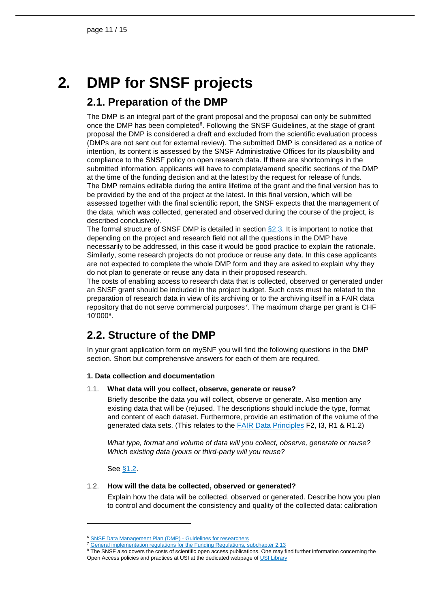# **2. DMP for SNSF projects**

### <span id="page-10-1"></span><span id="page-10-0"></span>**2.1. Preparation of the DMP**

The DMP is an integral part of the grant proposal and the proposal can only be submitted once the DMP has been completed $6$ . Following the SNSF Guidelines, at the stage of grant proposal the DMP is considered a draft and excluded from the scientific evaluation process (DMPs are not sent out for external review). The submitted DMP is considered as a notice of intention, its content is assessed by the SNSF Administrative Offices for its plausibility and compliance to the SNSF policy on open research data. If there are shortcomings in the submitted information, applicants will have to complete/amend specific sections of the DMP at the time of the funding decision and at the latest by the request for release of funds. The DMP remains editable during the entire lifetime of the grant and the final version has to be provided by the end of the project at the latest. In this final version, which will be assessed together with the final scientific report, the SNSF expects that the management of the data, which was collected, generated and observed during the course of the project, is described conclusively.

The formal structure of SNSF DMP is detailed in section §2.3. It is important to notice that depending on the project and research field not all the questions in the DMP have necessarily to be addressed, in this case it would be good practice to explain the rationale. Similarly, some research projects do not produce or reuse any data. In this case applicants are not expected to complete the whole DMP form and they are asked to explain why they do not plan to generate or reuse any data in their proposed research.

The costs of enabling access to research data that is collected, observed or generated under an SNSF grant should be included in the project budget. Such costs must be related to the preparation of research data in view of its archiving or to the archiving itself in a FAIR data repository that do not serve commercial purposes<sup>7</sup>. The maximum charge per grant is CHF 10'000<sup>8</sup> .

## <span id="page-10-2"></span>**2.2. Structure of the DMP**

In your grant application form on mySNF you will find the following questions in the DMP section. Short but comprehensive answers for each of them are required.

#### **1. Data collection and documentation**

#### 1.1. **What data will you collect, observe, generate or reuse?**

Briefly describe the data you will collect, observe or generate. Also mention any existing data that will be (re)used. The descriptions should include the type, format and content of each dataset. Furthermore, provide an estimation of the volume of the generated data sets. (This relates to the [FAIR Data Principles](https://www.go-fair.org/fair-principles/) F2, I3, R1 & R1.2)

*What type, format and volume of data will you collect, observe, generate or reuse? Which existing data (yours or third-party will you reuse?*

See [§1.2.](#page-3-2)

l

#### 1.2. **How will the data be collected, observed or generated?**

Explain how the data will be collected, observed or generated. Describe how you plan to control and document the consistency and quality of the collected data: calibration

<sup>&</sup>lt;sup>6</sup> [SNSF Data Management Plan \(DMP\) -](https://www.snf.ch/en/FAiWVH4WvpKvohw9/topic/research-policies) Guidelines for researchers

<sup>&</sup>lt;sup>7</sup> [General implementation regulations for the Funding Regulations, subchapter 2.13](https://www.snf.ch/media/en/B0SWnPsrDCRTaiCx/snsf-general-implementation-regulations-for-the-funding-regulations-e.pdf)

<sup>&</sup>lt;sup>8</sup> The SNSF also covers the costs of scientific open access publications. One may find further information concerning the Open Access policies and practices at USI at the dedicated webpage o[f USI Library](https://en.bul.sbu.usi.ch/information/open_access)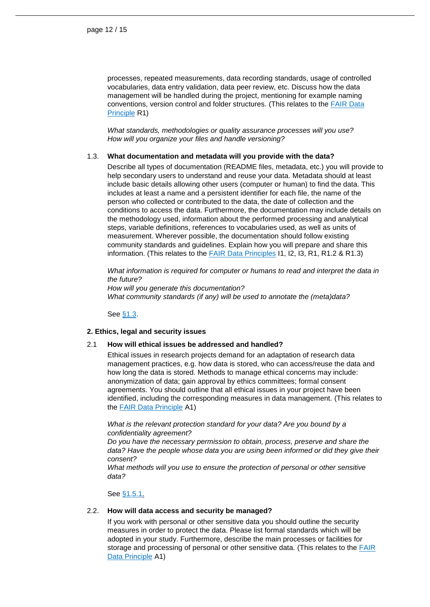processes, repeated measurements, data recording standards, usage of controlled vocabularies, data entry validation, data peer review, etc. Discuss how the data management will be handled during the project, mentioning for example naming conventions, version control and folder structures. (This relates to the [FAIR Data](https://www.go-fair.org/fair-principles/)  [Principle](https://www.go-fair.org/fair-principles/) R1)

*What standards, methodologies or quality assurance processes will you use? How will you organize your files and handle versioning?*

#### 1.3. **What documentation and metadata will you provide with the data?**

Describe all types of documentation (README files, metadata, etc.) you will provide to help secondary users to understand and reuse your data. Metadata should at least include basic details allowing other users (computer or human) to find the data. This includes at least a name and a persistent identifier for each file, the name of the person who collected or contributed to the data, the date of collection and the conditions to access the data. Furthermore, the documentation may include details on the methodology used, information about the performed processing and analytical steps, variable definitions, references to vocabularies used, as well as units of measurement. Wherever possible, the documentation should follow existing community standards and guidelines. Explain how you will prepare and share this information. (This relates to the **FAIR Data Principles 11, I2, I3, R1, R1.2 & R1.3**)

*What information is required for computer or humans to read and interpret the data in the future? How will you generate this documentation?*

*What community standards (if any) will be used to annotate the (meta)data?*

See [§1.3.](#page-3-3)

#### **2. Ethics, legal and security issues**

#### 2.1 **How will ethical issues be addressed and handled?**

Ethical issues in research projects demand for an adaptation of research data management practices, e.g. how data is stored, who can access/reuse the data and how long the data is stored. Methods to manage ethical concerns may include: anonymization of data; gain approval by ethics committees; formal consent agreements. You should outline that all ethical issues in your project have been identified, including the corresponding measures in data management. (This relates to the [FAIR Data Principle](https://www.go-fair.org/fair-principles/) A1)

*What is the relevant protection standard for your data? Are you bound by a confidentiality agreement?*

*Do you have the necessary permission to obtain, process, preserve and share the*  data? Have the people whose data you are using been informed or did they give their *consent?*

*What methods will you use to ensure the protection of personal or other sensitive data?*

#### See [§1.5.1.](#page-5-2)

#### 2.2. **How will data access and security be managed?**

If you work with personal or other sensitive data you should outline the security measures in order to protect the data. Please list formal standards which will be adopted in your study. Furthermore, describe the main processes or facilities for storage and processing of personal or other sensitive data. (This relates to the FAIR [Data Principle](https://www.go-fair.org/fair-principles/) A1)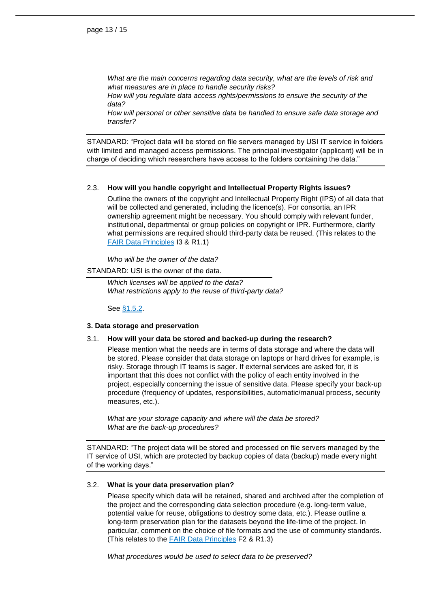*What are the main concerns regarding data security, what are the levels of risk and what measures are in place to handle security risks?*

*How will you regulate data access rights/permissions to ensure the security of the data?*

*How will personal or other sensitive data be handled to ensure safe data storage and transfer?*

STANDARD: "Project data will be stored on file servers managed by USI IT service in folders with limited and managed access permissions. The principal investigator (applicant) will be in charge of deciding which researchers have access to the folders containing the data."

#### 2.3. **How will you handle copyright and Intellectual Property Rights issues?**

Outline the owners of the copyright and Intellectual Property Right (IPS) of all data that will be collected and generated, including the licence(s). For consortia, an IPR ownership agreement might be necessary. You should comply with relevant funder, institutional, departmental or group policies on copyright or IPR. Furthermore, clarify what permissions are required should third-party data be reused. (This relates to the [FAIR Data Principles](https://www.go-fair.org/fair-principles/) I3 & R1.1)

*Who will be the owner of the data?*

#### STANDARD: USI is the owner of the data.

*Which licenses will be applied to the data? What restrictions apply to the reuse of third-party data?*

See [§1.5.2.](#page-7-1)

#### **3. Data storage and preservation**

#### 3.1. **How will your data be stored and backed-up during the research?**

Please mention what the needs are in terms of data storage and where the data will be stored. Please consider that data storage on laptops or hard drives for example, is risky. Storage through IT teams is sager. If external services are asked for, it is important that this does not conflict with the policy of each entity involved in the project, especially concerning the issue of sensitive data. Please specify your back-up procedure (frequency of updates, responsibilities, automatic/manual process, security measures, etc.).

*What are your storage capacity and where will the data be stored? What are the back-up procedures?*

STANDARD: "The project data will be stored and processed on file servers managed by the IT service of USI, which are protected by backup copies of data (backup) made every night of the working days."

#### 3.2. **What is your data preservation plan?**

Please specify which data will be retained, shared and archived after the completion of the project and the corresponding data selection procedure (e.g. long-term value, potential value for reuse, obligations to destroy some data, etc.). Please outline a long-term preservation plan for the datasets beyond the life-time of the project. In particular, comment on the choice of file formats and the use of community standards. (This relates to the [FAIR Data Principles](https://www.go-fair.org/fair-principles/) F2 & R1.3)

*What procedures would be used to select data to be preserved?*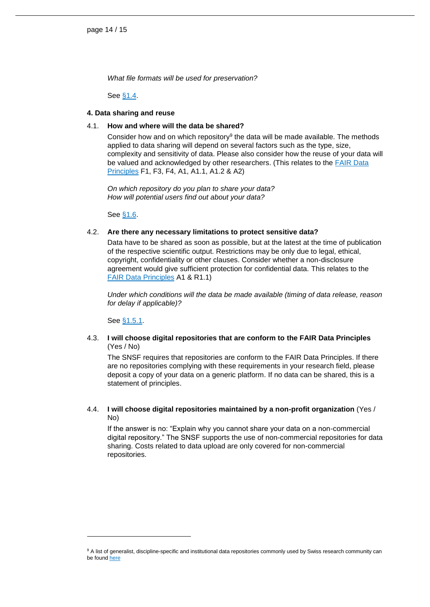*What file formats will be used for preservation?*

See [§1.4.](#page-4-0)

#### **4. Data sharing and reuse**

#### 4.1. **How and where will the data be shared?**

Consider how and on which repository<sup>9</sup> the data will be made available. The methods applied to data sharing will depend on several factors such as the type, size, complexity and sensitivity of data. Please also consider how the reuse of your data will be valued and acknowledged by other researchers. (This relates to the [FAIR Data](https://www.go-fair.org/fair-principles/)  [Principles](https://www.go-fair.org/fair-principles/) F1, F3, F4, A1, A1.1, A1.2 & A2)

*On which repository do you plan to share your data? How will potential users find out about your data?*

See [§1.6.](#page-8-0)

#### 4.2. **Are there any necessary limitations to protect sensitive data?**

Data have to be shared as soon as possible, but at the latest at the time of publication of the respective scientific output. Restrictions may be only due to legal, ethical, copyright, confidentiality or other clauses. Consider whether a non-disclosure agreement would give sufficient protection for confidential data. This relates to the [FAIR Data Principles](https://www.go-fair.org/fair-principles/) A1 & R1.1)

*Under which conditions will the data be made available (timing of data release, reason for delay if applicable)?*

See [§1.5.1.](#page-5-2)

l

#### 4.3. **I will choose digital repositories that are conform to the FAIR Data Principles** (Yes / No)

The SNSF requires that repositories are conform to the FAIR Data Principles. If there are no repositories complying with these requirements in your research field, please deposit a copy of your data on a generic platform. If no data can be shared, this is a statement of principles.

#### 4.4. **I will choose digital repositories maintained by a non-profit organization** (Yes / No)

If the answer is no: "Explain why you cannot share your data on a non-commercial digital repository." The SNSF supports the use of non-commercial repositories for data sharing. Costs related to data upload are only covered for non-commercial repositories.

<sup>&</sup>lt;sup>9</sup> A list of generalist, discipline-specific and institutional data repositories commonly used by Swiss research community can be found [here](https://www.snf.ch/en/WtezJ6qxuTRnSYgF/topic/open-research-data-which-data-repositories-can-be-used)